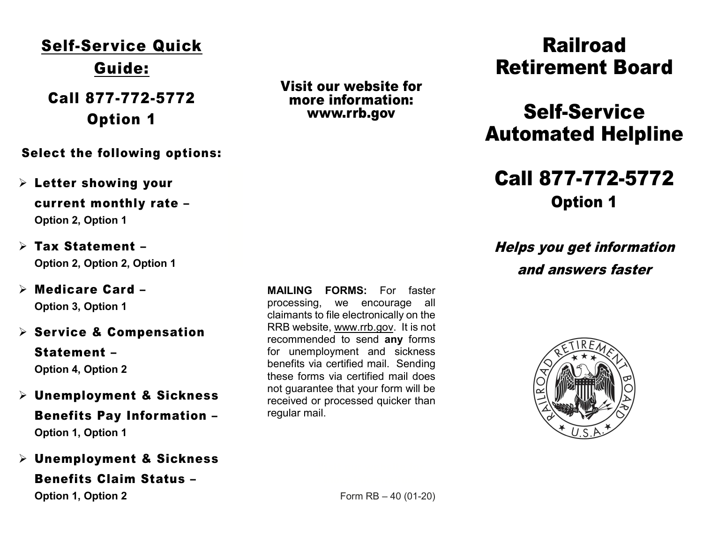# Self-Service Quick Guide:

 Option 1 Call 877-772-5772

Select the following options:

- $\triangleright$  Letter showing your current monthly rate – Option 2, Option 1
- Tax Statement Option 2, Option 2, Option 1
- Medicare Card Option 3, Option 1
- $\triangleright$  Service & Compensation

 Statement – Option 4, Option 2

- Unemployment & Sickness Benefits Pay Information – Option 1, Option 1
- Unemployment & Sickness

 Benefits Claim Status – Option 1, Option 2

 MAILING FORMS: For faster processing, we encourage all claimants to file electronically on the RRB website, www.rrb.gov. It is not recommended to send any forms for unemployment and sickness benefits via certified mail. Sending these forms via certified mail does not guarantee that your form will be received or processed quicker than regular mail.

Visit our website for

more information: www.rrb.gov

Railroad Retirement Board

# Self-Service Automated Helpline

## Option 1 Call 877-772-5772

 Helps you get information and answers faster



Form  $RB - 40 (01-20)$